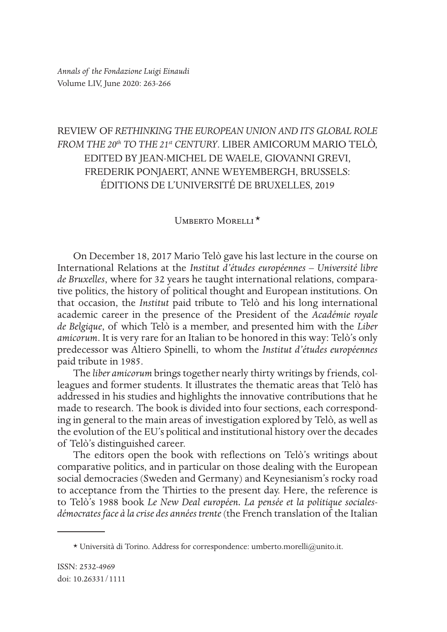## REVIEW OF *RETHINKING THE EUROPEAN UNION AND ITS GLOBAL ROLE FROM THE 20th TO THE 21st CENTURY*. LIBER AMICORUM MARIO TELÒ, EDITED BY JEAN-MICHEL DE WAELE, GIOVANNI GREVI, FREDERIK PONJAERT, ANNE WEYEMBERGH, BRUSSELS: ÉDITIONS DE L'UNIVERSITÉ DE BRUXELLES, 2019

## UMBERTO MORELLI<sup>\*</sup>

\*On December 18, 2017 Mario Telò gave his last lecture in the course on International Relations at the *Institut d'études européennes – Université libre de Bruxelles*, where for 32 years he taught international relations, comparative politics, the history of political thought and European institutions. On that occasion, the *Institut* paid tribute to Telò and his long international academic career in the presence of the President of the *Académie royale de Belgique*, of which Telò is a member, and presented him with the *Liber amicorum*. It is very rare for an Italian to be honored in this way: Telò's only predecessor was Altiero Spinelli, to whom the *Institut d'études européennes* paid tribute in 1985.

The *liber amicorum* brings together nearly thirty writings by friends, colleagues and former students. It illustrates the thematic areas that Telò has addressed in his studies and highlights the innovative contributions that he made to research. The book is divided into four sections, each corresponding in general to the main areas of investigation explored by Telò, as well as the evolution of the EU's political and institutional history over the decades of Telò's distinguished career.

The editors open the book with refections on Telò's writings about comparative politics, and in particular on those dealing with the European social democracies (Sweden and Germany) and Keynesianism's rocky road to acceptance from the Thirties to the present day. Here, the reference is to Telò's 1988 book *Le New Deal européen. La pensée et la politique socialesdémocrates face à la crise des années trente* (the French translation of the Italian

 $*$  Università di Torino. Address for correspondence: umberto.morelli@unito.it.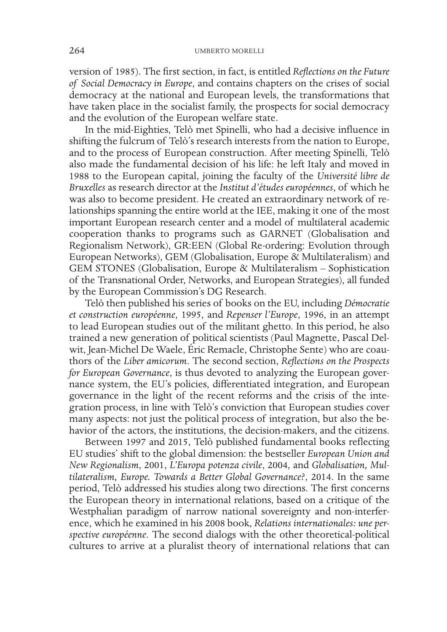version of 1985). The frst section, in fact, is entitled *Refections on the Future of Social Democracy in Europe*, and contains chapters on the crises of social democracy at the national and European levels, the transformations that have taken place in the socialist family, the prospects for social democracy and the evolution of the European welfare state.

In the mid-Eighties, Telò met Spinelli, who had a decisive infuence in shifting the fulcrum of Telò's research interests from the nation to Europe, and to the process of European construction. After meeting Spinelli, Telò also made the fundamental decision of his life: he left Italy and moved in 1988 to the European capital, joining the faculty of the *Université libre de Bruxelles* as research director at the *Institut d'études européennes*, of which he was also to become president. He created an extraordinary network of relationships spanning the entire world at the IEE, making it one of the most important European research center and a model of multilateral academic cooperation thanks to programs such as GARNET (Globalisation and Regionalism Network), GR:EEN (Global Re-ordering: Evolution through European Networks), GEM (Globalisation, Europe & Multilateralism) and GEM STONES (Globalisation, Europe & Multilateralism – Sophistication of the Transnational Order, Networks, and European Strategies), all funded by the European Commission's DG Research.

Telò then published his series of books on the EU, including *Démocratie et construction européenne*, 1995, and *Repenser l'Europe*, 1996, in an attempt to lead European studies out of the militant ghetto. In this period, he also trained a new generation of political scientists (Paul Magnette, Pascal Delwit, Jean-Michel De Waele, Éric Remacle, Christophe Sente) who are coauthors of the *Liber amicorum*. The second section, *Refections on the Prospects for European Governance*, is thus devoted to analyzing the European governance system, the EU's policies, diferentiated integration, and European governance in the light of the recent reforms and the crisis of the integration process, in line with Telò's conviction that European studies cover many aspects: not just the political process of integration, but also the behavior of the actors, the institutions, the decision-makers, and the citizens.

Between 1997 and 2015, Telò published fundamental books refecting EU studies' shift to the global dimension: the bestseller *European Union and New Regionalism*, 2001, *L'Europa potenza civile*, 2004, and *Globalisation, Multilateralism, Europe. Towards a Better Global Governance?*, 2014. In the same period, Telò addressed his studies along two directions. The frst concerns the European theory in international relations, based on a critique of the Westphalian paradigm of narrow national sovereignty and non-interference, which he examined in his 2008 book, *Relations internationales: une perspective européenne*. The second dialogs with the other theoretical-political cultures to arrive at a pluralist theory of international relations that can